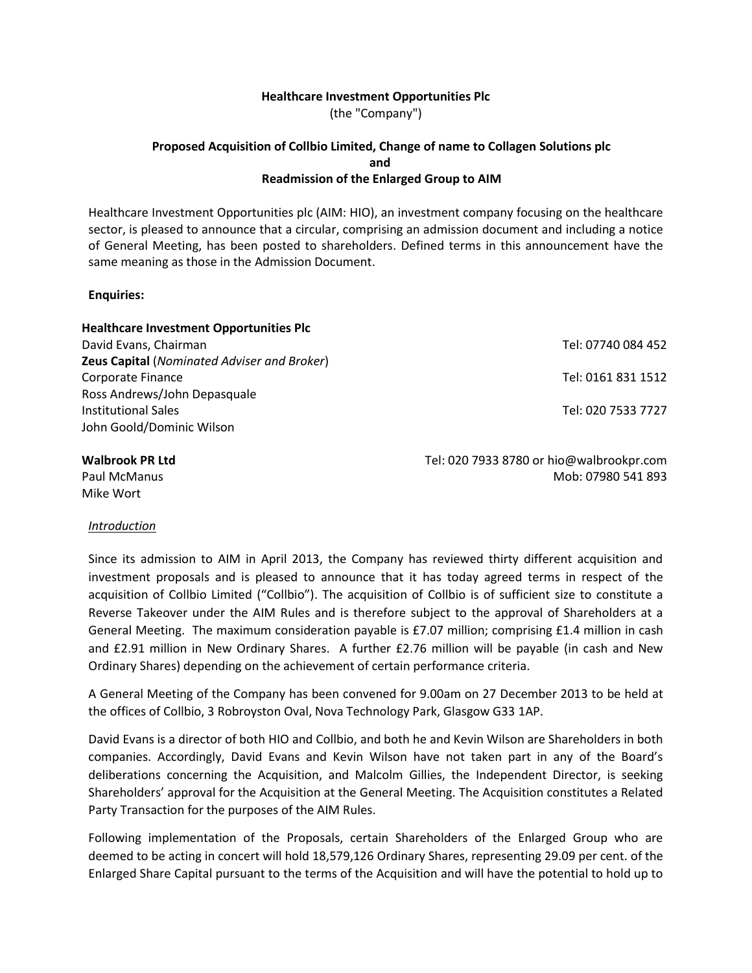## **Healthcare Investment Opportunities Plc**

(the "Company")

## **Proposed Acquisition of Collbio Limited, Change of name to Collagen Solutions plc and Readmission of the Enlarged Group to AIM**

Healthcare Investment Opportunities plc (AIM: HIO), an investment company focusing on the healthcare sector, is pleased to announce that a circular, comprising an admission document and including a notice of General Meeting, has been posted to shareholders. Defined terms in this announcement have the same meaning as those in the Admission Document.

#### **Enquiries:**

| <b>Healthcare Investment Opportunities Plc</b>     |                    |
|----------------------------------------------------|--------------------|
| David Evans, Chairman                              | Tel: 07740 084 452 |
| <b>Zeus Capital (Nominated Adviser and Broker)</b> |                    |
| Corporate Finance                                  | Tel: 0161 831 1512 |
| Ross Andrews/John Depasquale                       |                    |
| <b>Institutional Sales</b>                         | Tel: 020 7533 7727 |
| John Goold/Dominic Wilson                          |                    |
|                                                    |                    |

Paul McManus Mike Wort

**Walbrook PR Ltd** Tel: 020 7933 8780 or [hio@walbrookpr.com](mailto:hio@walbrookpr.com) Mob: 07980 541 893

## *Introduction*

Since its admission to AIM in April 2013, the Company has reviewed thirty different acquisition and investment proposals and is pleased to announce that it has today agreed terms in respect of the acquisition of Collbio Limited ("Collbio"). The acquisition of Collbio is of sufficient size to constitute a Reverse Takeover under the AIM Rules and is therefore subject to the approval of Shareholders at a General Meeting. The maximum consideration payable is £7.07 million; comprising £1.4 million in cash and £2.91 million in New Ordinary Shares. A further £2.76 million will be payable (in cash and New Ordinary Shares) depending on the achievement of certain performance criteria.

A General Meeting of the Company has been convened for 9.00am on 27 December 2013 to be held at the offices of Collbio, 3 Robroyston Oval, Nova Technology Park, Glasgow G33 1AP.

David Evans is a director of both HIO and Collbio, and both he and Kevin Wilson are Shareholders in both companies. Accordingly, David Evans and Kevin Wilson have not taken part in any of the Board's deliberations concerning the Acquisition, and Malcolm Gillies, the Independent Director, is seeking Shareholders' approval for the Acquisition at the General Meeting. The Acquisition constitutes a Related Party Transaction for the purposes of the AIM Rules.

Following implementation of the Proposals, certain Shareholders of the Enlarged Group who are deemed to be acting in concert will hold 18,579,126 Ordinary Shares, representing 29.09 per cent. of the Enlarged Share Capital pursuant to the terms of the Acquisition and will have the potential to hold up to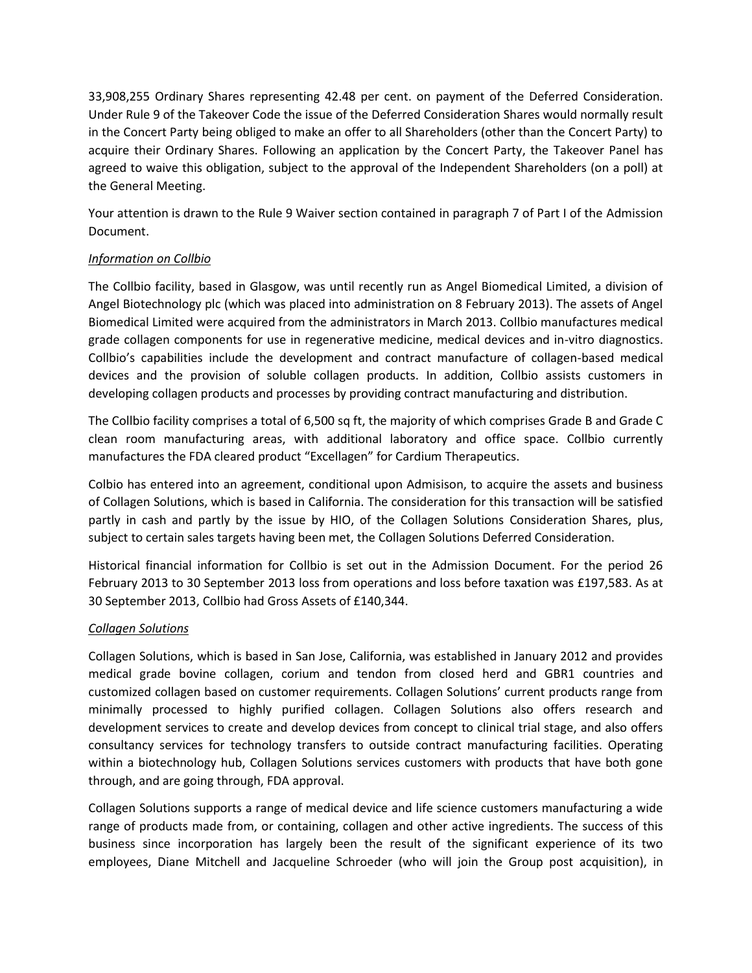33,908,255 Ordinary Shares representing 42.48 per cent. on payment of the Deferred Consideration. Under Rule 9 of the Takeover Code the issue of the Deferred Consideration Shares would normally result in the Concert Party being obliged to make an offer to all Shareholders (other than the Concert Party) to acquire their Ordinary Shares. Following an application by the Concert Party, the Takeover Panel has agreed to waive this obligation, subject to the approval of the Independent Shareholders (on a poll) at the General Meeting.

Your attention is drawn to the Rule 9 Waiver section contained in paragraph 7 of Part I of the Admission Document.

# *Information on Collbio*

The Collbio facility, based in Glasgow, was until recently run as Angel Biomedical Limited, a division of Angel Biotechnology plc (which was placed into administration on 8 February 2013). The assets of Angel Biomedical Limited were acquired from the administrators in March 2013. Collbio manufactures medical grade collagen components for use in regenerative medicine, medical devices and in-vitro diagnostics. Collbio's capabilities include the development and contract manufacture of collagen-based medical devices and the provision of soluble collagen products. In addition, Collbio assists customers in developing collagen products and processes by providing contract manufacturing and distribution.

The Collbio facility comprises a total of 6,500 sq ft, the majority of which comprises Grade B and Grade C clean room manufacturing areas, with additional laboratory and office space. Collbio currently manufactures the FDA cleared product "Excellagen" for Cardium Therapeutics.

Colbio has entered into an agreement, conditional upon Admisison, to acquire the assets and business of Collagen Solutions, which is based in California. The consideration for this transaction will be satisfied partly in cash and partly by the issue by HIO, of the Collagen Solutions Consideration Shares, plus, subject to certain sales targets having been met, the Collagen Solutions Deferred Consideration.

Historical financial information for Collbio is set out in the Admission Document. For the period 26 February 2013 to 30 September 2013 loss from operations and loss before taxation was £197,583. As at 30 September 2013, Collbio had Gross Assets of £140,344.

# *Collagen Solutions*

Collagen Solutions, which is based in San Jose, California, was established in January 2012 and provides medical grade bovine collagen, corium and tendon from closed herd and GBR1 countries and customized collagen based on customer requirements. Collagen Solutions' current products range from minimally processed to highly purified collagen. Collagen Solutions also offers research and development services to create and develop devices from concept to clinical trial stage, and also offers consultancy services for technology transfers to outside contract manufacturing facilities. Operating within a biotechnology hub, Collagen Solutions services customers with products that have both gone through, and are going through, FDA approval.

Collagen Solutions supports a range of medical device and life science customers manufacturing a wide range of products made from, or containing, collagen and other active ingredients. The success of this business since incorporation has largely been the result of the significant experience of its two employees, Diane Mitchell and Jacqueline Schroeder (who will join the Group post acquisition), in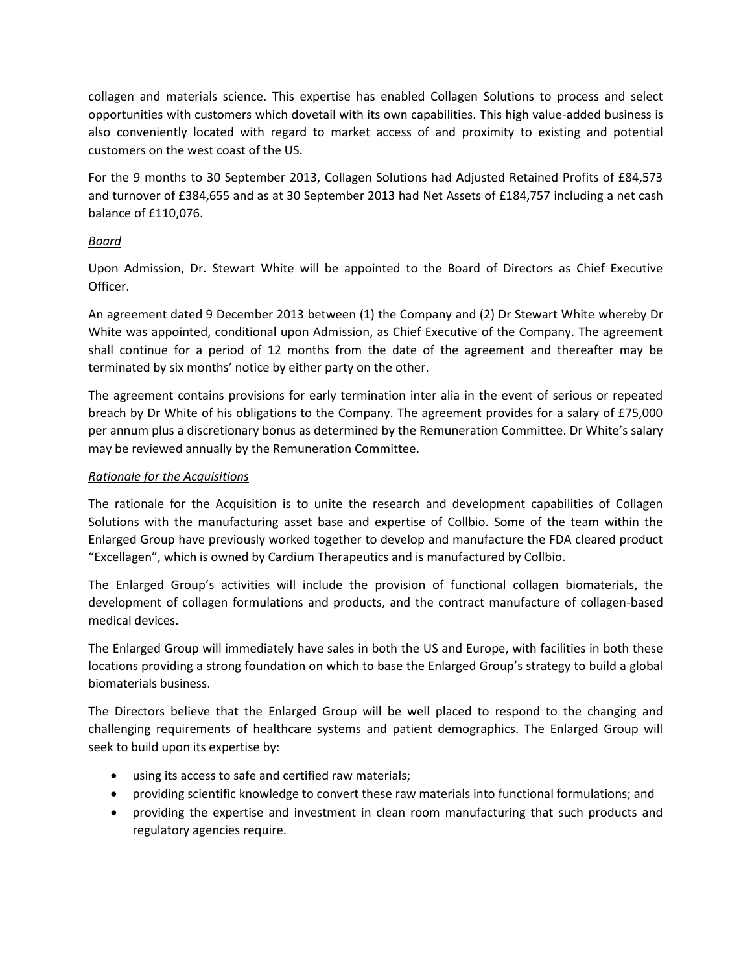collagen and materials science. This expertise has enabled Collagen Solutions to process and select opportunities with customers which dovetail with its own capabilities. This high value-added business is also conveniently located with regard to market access of and proximity to existing and potential customers on the west coast of the US.

For the 9 months to 30 September 2013, Collagen Solutions had Adjusted Retained Profits of £84,573 and turnover of £384,655 and as at 30 September 2013 had Net Assets of £184,757 including a net cash balance of £110,076.

# *Board*

Upon Admission, Dr. Stewart White will be appointed to the Board of Directors as Chief Executive Officer.

An agreement dated 9 December 2013 between (1) the Company and (2) Dr Stewart White whereby Dr White was appointed, conditional upon Admission, as Chief Executive of the Company. The agreement shall continue for a period of 12 months from the date of the agreement and thereafter may be terminated by six months' notice by either party on the other.

The agreement contains provisions for early termination inter alia in the event of serious or repeated breach by Dr White of his obligations to the Company. The agreement provides for a salary of £75,000 per annum plus a discretionary bonus as determined by the Remuneration Committee. Dr White's salary may be reviewed annually by the Remuneration Committee.

# *Rationale for the Acquisitions*

The rationale for the Acquisition is to unite the research and development capabilities of Collagen Solutions with the manufacturing asset base and expertise of Collbio. Some of the team within the Enlarged Group have previously worked together to develop and manufacture the FDA cleared product "Excellagen", which is owned by Cardium Therapeutics and is manufactured by Collbio.

The Enlarged Group's activities will include the provision of functional collagen biomaterials, the development of collagen formulations and products, and the contract manufacture of collagen-based medical devices.

The Enlarged Group will immediately have sales in both the US and Europe, with facilities in both these locations providing a strong foundation on which to base the Enlarged Group's strategy to build a global biomaterials business.

The Directors believe that the Enlarged Group will be well placed to respond to the changing and challenging requirements of healthcare systems and patient demographics. The Enlarged Group will seek to build upon its expertise by:

- using its access to safe and certified raw materials;
- providing scientific knowledge to convert these raw materials into functional formulations; and
- providing the expertise and investment in clean room manufacturing that such products and regulatory agencies require.